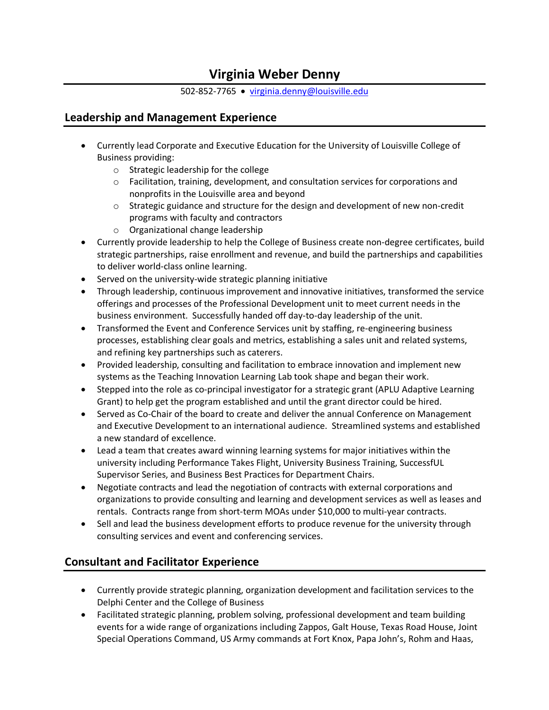# **Virginia Weber Denny**

502-852-7765 • virginia.denny@louisville.edu

### **Leadership and Management Experience**

- Currently lead Corporate and Executive Education for the University of Louisville College of Business providing:
	- o Strategic leadership for the college
	- $\circ$  Facilitation, training, development, and consultation services for corporations and nonprofits in the Louisville area and beyond
	- $\circ$  Strategic guidance and structure for the design and development of new non-credit programs with faculty and contractors
	- o Organizational change leadership
- Currently provide leadership to help the College of Business create non-degree certificates, build strategic partnerships, raise enrollment and revenue, and build the partnerships and capabilities to deliver world-class online learning.
- Served on the university-wide strategic planning initiative
- Through leadership, continuous improvement and innovative initiatives, transformed the service offerings and processes of the Professional Development unit to meet current needs in the business environment. Successfully handed off day-to-day leadership of the unit.
- Transformed the Event and Conference Services unit by staffing, re-engineering business processes, establishing clear goals and metrics, establishing a sales unit and related systems, and refining key partnerships such as caterers.
- Provided leadership, consulting and facilitation to embrace innovation and implement new systems as the Teaching Innovation Learning Lab took shape and began their work.
- Stepped into the role as co-principal investigator for a strategic grant (APLU Adaptive Learning Grant) to help get the program established and until the grant director could be hired.
- Served as Co-Chair of the board to create and deliver the annual Conference on Management and Executive Development to an international audience. Streamlined systems and established a new standard of excellence.
- Lead a team that creates award winning learning systems for major initiatives within the university including Performance Takes Flight, University Business Training, SuccessfUL Supervisor Series, and Business Best Practices for Department Chairs.
- Negotiate contracts and lead the negotiation of contracts with external corporations and organizations to provide consulting and learning and development services as well as leases and rentals. Contracts range from short-term MOAs under \$10,000 to multi-year contracts.
- Sell and lead the business development efforts to produce revenue for the university through consulting services and event and conferencing services.

# **Consultant and Facilitator Experience**

- Currently provide strategic planning, organization development and facilitation services to the Delphi Center and the College of Business
- Facilitated strategic planning, problem solving, professional development and team building events for a wide range of organizations including Zappos, Galt House, Texas Road House, Joint Special Operations Command, US Army commands at Fort Knox, Papa John's, Rohm and Haas,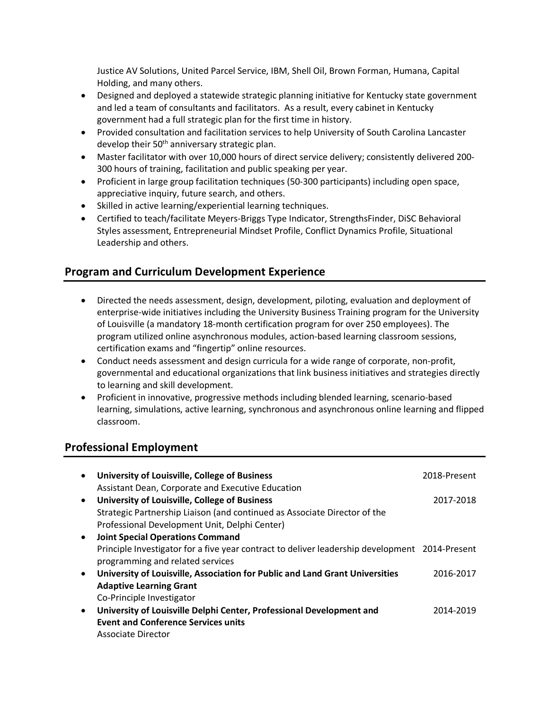Justice AV Solutions, United Parcel Service, IBM, Shell Oil, Brown Forman, Humana, Capital Holding, and many others.

- Designed and deployed a statewide strategic planning initiative for Kentucky state government and led a team of consultants and facilitators. As a result, every cabinet in Kentucky government had a full strategic plan for the first time in history.
- Provided consultation and facilitation services to help University of South Carolina Lancaster develop their 50<sup>th</sup> anniversary strategic plan.
- Master facilitator with over 10,000 hours of direct service delivery; consistently delivered 200- 300 hours of training, facilitation and public speaking per year.
- Proficient in large group facilitation techniques (50-300 participants) including open space, appreciative inquiry, future search, and others.
- Skilled in active learning/experiential learning techniques.
- Certified to teach/facilitate Meyers-Briggs Type Indicator, StrengthsFinder, DiSC Behavioral Styles assessment, Entrepreneurial Mindset Profile, Conflict Dynamics Profile, Situational Leadership and others.

## **Program and Curriculum Development Experience**

- Directed the needs assessment, design, development, piloting, evaluation and deployment of enterprise-wide initiatives including the University Business Training program for the University of Louisville (a mandatory 18-month certification program for over 250 employees). The program utilized online asynchronous modules, action-based learning classroom sessions, certification exams and "fingertip" online resources.
- Conduct needs assessment and design curricula for a wide range of corporate, non-profit, governmental and educational organizations that link business initiatives and strategies directly to learning and skill development.
- Proficient in innovative, progressive methods including blended learning, scenario-based learning, simulations, active learning, synchronous and asynchronous online learning and flipped classroom.

# **Professional Employment**

| $\bullet$ | University of Louisville, College of Business                                                  | 2018-Present |
|-----------|------------------------------------------------------------------------------------------------|--------------|
|           | Assistant Dean, Corporate and Executive Education                                              |              |
| $\bullet$ | University of Louisville, College of Business                                                  | 2017-2018    |
|           | Strategic Partnership Liaison (and continued as Associate Director of the                      |              |
|           | Professional Development Unit, Delphi Center)                                                  |              |
| $\bullet$ | <b>Joint Special Operations Command</b>                                                        |              |
|           | Principle Investigator for a five year contract to deliver leadership development 2014-Present |              |
|           | programming and related services                                                               |              |
| $\bullet$ | University of Louisville, Association for Public and Land Grant Universities                   | 2016-2017    |
|           | <b>Adaptive Learning Grant</b>                                                                 |              |
|           | Co-Principle Investigator                                                                      |              |
| $\bullet$ | University of Louisville Delphi Center, Professional Development and                           | 2014-2019    |
|           | <b>Event and Conference Services units</b>                                                     |              |
|           | Associate Director                                                                             |              |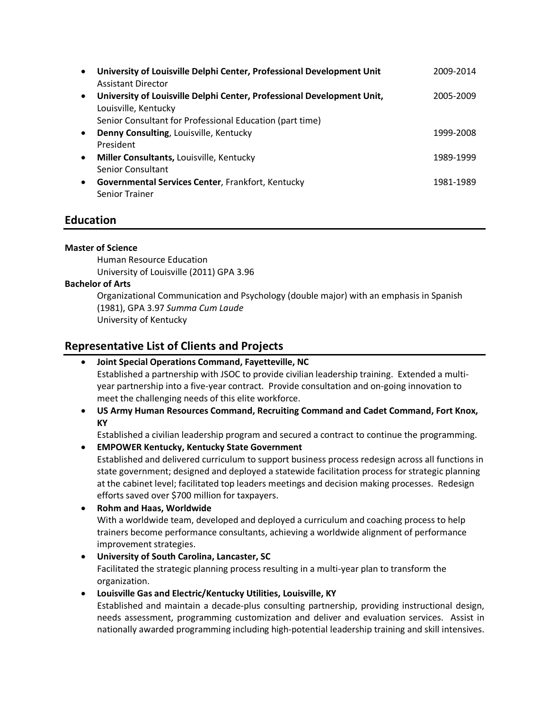| $\bullet$ | University of Louisville Delphi Center, Professional Development Unit<br><b>Assistant Director</b> | 2009-2014 |
|-----------|----------------------------------------------------------------------------------------------------|-----------|
| $\bullet$ | University of Louisville Delphi Center, Professional Development Unit,<br>Louisville, Kentucky     | 2005-2009 |
|           | Senior Consultant for Professional Education (part time)                                           |           |
| $\bullet$ | Denny Consulting, Louisville, Kentucky<br>President                                                | 1999-2008 |
| $\bullet$ | Miller Consultants, Louisville, Kentucky<br><b>Senior Consultant</b>                               | 1989-1999 |
| $\bullet$ | Governmental Services Center, Frankfort, Kentucky<br><b>Senior Trainer</b>                         | 1981-1989 |

### **Education**

#### **Master of Science**

Human Resource Education University of Louisville (2011) GPA 3.96

#### **Bachelor of Arts**

Organizational Communication and Psychology (double major) with an emphasis in Spanish (1981), GPA 3.97 *Summa Cum Laude* University of Kentucky

### **Representative List of Clients and Projects**

- **Joint Special Operations Command, Fayetteville, NC** Established a partnership with JSOC to provide civilian leadership training. Extended a multiyear partnership into a five-year contract. Provide consultation and on-going innovation to meet the challenging needs of this elite workforce.
- **US Army Human Resources Command, Recruiting Command and Cadet Command, Fort Knox, KY**

Established a civilian leadership program and secured a contract to continue the programming.

• **EMPOWER Kentucky, Kentucky State Government** Established and delivered curriculum to support business process redesign across all functions in state government; designed and deployed a statewide facilitation process for strategic planning at the cabinet level; facilitated top leaders meetings and decision making processes. Redesign efforts saved over \$700 million for taxpayers.

- **Rohm and Haas, Worldwide** With a worldwide team, developed and deployed a curriculum and coaching process to help trainers become performance consultants, achieving a worldwide alignment of performance improvement strategies.
- **University of South Carolina, Lancaster, SC** Facilitated the strategic planning process resulting in a multi-year plan to transform the organization.
- **Louisville Gas and Electric/Kentucky Utilities, Louisville, KY** Established and maintain a decade-plus consulting partnership, providing instructional design, needs assessment, programming customization and deliver and evaluation services. Assist in nationally awarded programming including high-potential leadership training and skill intensives.